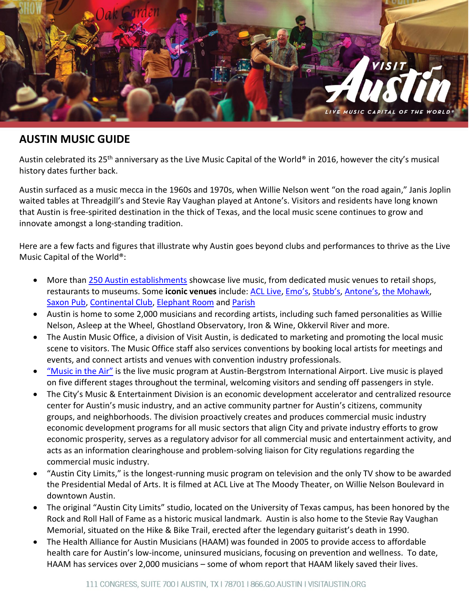

# **AUSTIN MUSIC GUIDE**

Austin celebrated its 25<sup>th</sup> anniversary as the Live Music Capital of the World® in 2016, however the city's musical history dates further back.

Austin surfaced as a music mecca in the 1960s and 1970s, when Willie Nelson went "on the road again," Janis Joplin waited tables at Threadgill's and Stevie Ray Vaughan played at Antone's. Visitors and residents have long known that Austin is free-spirited destination in the thick of Texas, and the local music scene continues to grow and innovate amongst a long-standing tradition.

Here are a few facts and figures that illustrate why Austin goes beyond clubs and performances to thrive as the Live Music Capital of the World®:

- More tha[n 250 Austin establishments](http://www.austintexas.org/visit/music-scene/venue-guide/) showcase live music, from dedicated music venues to retail shops, restaurants to museums. Some **iconic venues** include: [ACL Live,](http://acl-live.com/) [Emo's](http://www.emosaustin.com/), [Stubb's](http://stubbsaustin.com/), [Antone's](http://www.antonesnightclub.com/), [the Mohawk,](http://www.austintexas.org/listings/The-Mohawk/2018/) [Saxon Pub,](http://thesaxonpub.com/) [Continental Club,](http://www.continentalclub.com/) [Elephant Room](http://www.austintexas.org/listings/Elephant-Room/2833/) and [Parish](http://www.austintexas.org/listings/The-Parish/1941/)
- Austin is home to some 2,000 musicians and recording artists, including such famed personalities as Willie Nelson, Asleep at the Wheel, Ghostland Observatory, Iron & Wine, Okkervil River and more.
- The Austin Music Office, a division of Visit Austin, is dedicated to marketing and promoting the local music scene to visitors. The Music Office staff also services conventions by booking local artists for meetings and events, and connect artists and venues with convention industry professionals.
- ["Music in the Air"](http://www.austintexas.gov/department/music-air-0) is the live music program at Austin-Bergstrom International Airport. Live music is played on five different stages throughout the terminal, welcoming visitors and sending off passengers in style.
- The City's Music & Entertainment Division is an economic development accelerator and centralized resource center for Austin's music industry, and an active community partner for Austin's citizens, community groups, and neighborhoods. The division proactively creates and produces commercial music industry economic development programs for all music sectors that align City and private industry efforts to grow economic prosperity, serves as a regulatory advisor for all commercial music and entertainment activity, and acts as an information clearinghouse and problem-solving liaison for City regulations regarding the commercial music industry.
- "Austin City Limits," is the longest-running music program on television and the only TV show to be awarded the Presidential Medal of Arts. It is filmed at ACL Live at The Moody Theater, on Willie Nelson Boulevard in downtown Austin.
- The original "Austin City Limits" studio, located on the University of Texas campus, has been honored by the Rock and Roll Hall of Fame as a historic musical landmark. Austin is also home to the Stevie Ray Vaughan Memorial, situated on the Hike & Bike Trail, erected after the legendary guitarist's death in 1990.
- health care for Austin's low-income, uninsured musicians, focusing on prevention and wellness. To date, • The Health Alliance for Austin Musicians (HAAM) was founded in 2005 to provide access to affordable HAAM has services over 2,000 musicians – some of whom report that HAAM likely saved their lives.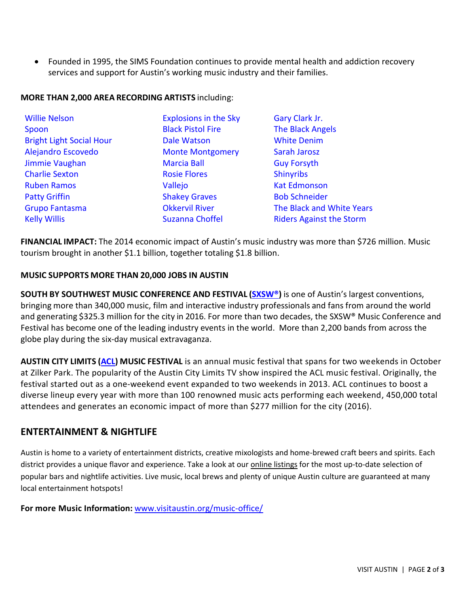• Founded in 1995, the SIMS Foundation continues to provide mental health and addiction recovery services and support for Austin's working music industry and their families.

## **MORE THAN 2,000 AREA RECORDING ARTISTS** including:

| <b>Willie Nelson</b>            | <b>Explosions in the Sky</b> | Gary Clark Jr.                  |
|---------------------------------|------------------------------|---------------------------------|
| Spoon                           | <b>Black Pistol Fire</b>     | <b>The Black Angels</b>         |
| <b>Bright Light Social Hour</b> | <b>Dale Watson</b>           | <b>White Denim</b>              |
| Alejandro Escovedo              | <b>Monte Montgomery</b>      | Sarah Jarosz                    |
| Jimmie Vaughan                  | <b>Marcia Ball</b>           | <b>Guy Forsyth</b>              |
| <b>Charlie Sexton</b>           | <b>Rosie Flores</b>          | <b>Shinyribs</b>                |
| <b>Ruben Ramos</b>              | Vallejo                      | <b>Kat Edmonson</b>             |
| <b>Patty Griffin</b>            | <b>Shakey Graves</b>         | <b>Bob Schneider</b>            |
| <b>Grupo Fantasma</b>           | <b>Okkervil River</b>        | The Black and White Years       |
| <b>Kelly Willis</b>             | <b>Suzanna Choffel</b>       | <b>Riders Against the Storm</b> |

**FINANCIAL IMPACT:** The 2014 economic impact of Austin's music industry was more than \$726 million. Music tourism brought in another \$1.1 billion, together totaling \$1.8 billion.

## **MUSIC SUPPORTS MORE THAN 20,000 JOBS IN AUSTIN**

**SOUTH BY SOUTHWEST MUSIC CONFERENCE AND FESTIVAL [\(SXSW®](http://sxsw.com/))** is one of Austin's largest conventions, bringing more than 340,000 music, film and interactive industry professionals and fans from around the world and generating \$325.3 million for the city in 2016. For more than two decades, the SXSW® Music Conference and Festival has become one of the leading industry events in the world. More than 2,200 bands from across the globe play during the six-day musical extravaganza.

**AUSTIN CITY LIMITS [\(ACL\)](http://acltv.com/) MUSIC FESTIVAL** is an annual music festival that spans for two weekends in October at Zilker Park. The popularity of the Austin City Limits TV show inspired the ACL music festival. Originally, the festival started out as a one-weekend event expanded to two weekends in 2013. ACL continues to boost a diverse lineup every year with more than 100 renowned music acts performing each weekend, 450,000 total attendees and generates an economic impact of more than \$277 million for the city (2016).

# **ENTERTAINMENT & NIGHTLIFE**

Austin is home to a variety of entertainment districts, creative mixologists and home-brewed craft beers and spirits. Each district provides a unique flavor and experience. Take a look at our [online listings](http://www.austintexas.org/visit/discover/nightlife) for the most up-to-date selection of popular bars and nightlife activities. Live music, local brews and plenty of unique Austin culture are guaranteed at many local entertainment hotspots!

**For more Music Information:** [www.visitaustin.org/music-office/](http://www.visitaustin.org/music-office/)